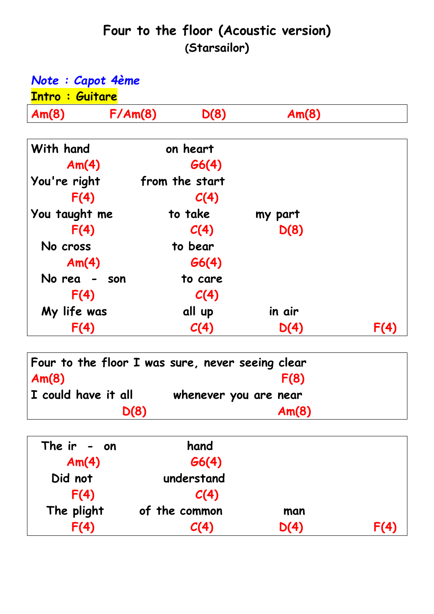## **Four to the floor (Acoustic version) (Starsailor)**

| Note : Capot 4ème<br><b>Intro: Guitare</b> |  |                |         |      |  |  |
|--------------------------------------------|--|----------------|---------|------|--|--|
|                                            |  |                |         |      |  |  |
| With hand                                  |  | on heart       |         |      |  |  |
| Am(4)                                      |  | G6(4)          |         |      |  |  |
| You're right                               |  | from the start |         |      |  |  |
| F(4)                                       |  | C(4)           |         |      |  |  |
| You taught me                              |  | to take        | my part |      |  |  |
| F(4)                                       |  | C(4)           | D(8)    |      |  |  |
| No cross                                   |  | to bear        |         |      |  |  |
| Am(4)                                      |  | G6(4)          |         |      |  |  |
| No rea - son                               |  | to care        |         |      |  |  |
| F(4)                                       |  | C(4)           |         |      |  |  |
| My life was                                |  | all up         | in air  |      |  |  |
| F(4)                                       |  | C(4)           | D(4)    | F(4) |  |  |

| Four to the floor I was sure, never seeing clear |                       |
|--------------------------------------------------|-----------------------|
| Am(8)                                            | F(8)                  |
| I could have it all                              | whenever you are near |
| D(8)                                             | Am(8)                 |

| The $ir - on$ | hand          |      |      |
|---------------|---------------|------|------|
| Am(4)         | G6(4)         |      |      |
| Did not       | understand    |      |      |
| F(4)          | C(4)          |      |      |
| The plight    | of the common | man  |      |
| F(4)          | C(4)          | D(4) | F(4) |